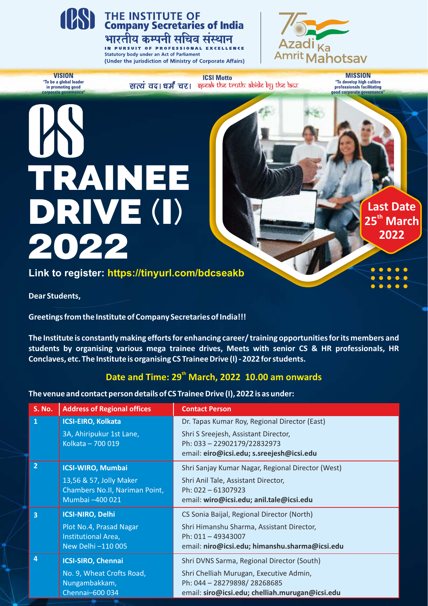

## **THE INSTITUTE OF<br>Company Secretaries of India** भारतीय कम्पनी सचिव संस्थान

IN PURSUIT OF PROFESSIONAL EXCELLENCE **Statutory body under an Act of Parliament** (Under the jurisdiction of Ministry of Corporate Affairs)



**VISION** "To be a global leader<br>in promoting good

**ICSI Motto** सत्यं वद। धर्मं चर। इत्याके the truth abide by the law.

**MISSION** "To develop high calibre<br>professionals facilitating od corporate gove

> **Last Date th 25 March 2022**

# TRAINEE DRIVE (I) 2022

### **Link to register: https://tinyurl.com/bdcseakb**

**Dear Students,** 

**Greetings from the Institute of Company Secretaries of India!!!**

**The Institute is constantly making efforts for enhancing career/ training opportunities for its members and students by organising various mega trainee drives, Meets with senior CS & HR professionals, HR Conclaves, etc. The Institute is organising CS Trainee Drive (I) - 2022 for students.**

## Date and Time: 29<sup>th</sup> March, 2022 10.00 am onwards

**The venue and contact person details of CS Trainee Drive (I), 2022 is as under:**

| <b>S. No.</b>           | <b>Address of Regional offices</b>                                           | <b>Contact Person</b>                                                                                            |
|-------------------------|------------------------------------------------------------------------------|------------------------------------------------------------------------------------------------------------------|
| $\overline{1}$          | <b>ICSI-EIRO, Kolkata</b>                                                    | Dr. Tapas Kumar Roy, Regional Director (East)                                                                    |
|                         | 3A, Ahiripukur 1st Lane,<br>Kolkata - 700 019                                | Shri S Sreejesh, Assistant Director,<br>Ph: 033 - 22902179/22832973<br>email: eiro@icsi.edu; s.sreejesh@icsi.edu |
| $\overline{2}$          | <b>ICSI-WIRO, Mumbai</b>                                                     | Shri Sanjay Kumar Nagar, Regional Director (West)                                                                |
|                         | 13,56 & 57, Jolly Maker<br>Chambers No.II, Nariman Point,<br>Mumbai -400 021 | Shri Anil Tale, Assistant Director,<br>Ph: 022-61307923<br>email: wiro@icsi.edu; anil.tale@icsi.edu              |
| $\overline{\mathbf{3}}$ | <b>ICSI-NIRO, Delhi</b>                                                      | CS Sonia Baijal, Regional Director (North)                                                                       |
|                         | Plot No.4, Prasad Nagar                                                      | Shri Himanshu Sharma, Assistant Director,                                                                        |
|                         | Institutional Area,<br>New Delhi -110 005                                    | Ph: 011-49343007<br>email: niro@icsi.edu; himanshu.sharma@icsi.edu                                               |
| $\overline{4}$          | <b>ICSI-SIRO, Chennai</b>                                                    | Shri DVNS Sarma, Regional Director (South)                                                                       |
|                         | No. 9, Wheat Crofts Road,                                                    | Shri Chelliah Murugan, Executive Admin,                                                                          |
|                         | Nungambakkam,                                                                | Ph: 044 - 28279898/28268685                                                                                      |
|                         | Chennai-600 034                                                              | email: siro@icsi.edu; chelliah.murugan@icsi.edu                                                                  |